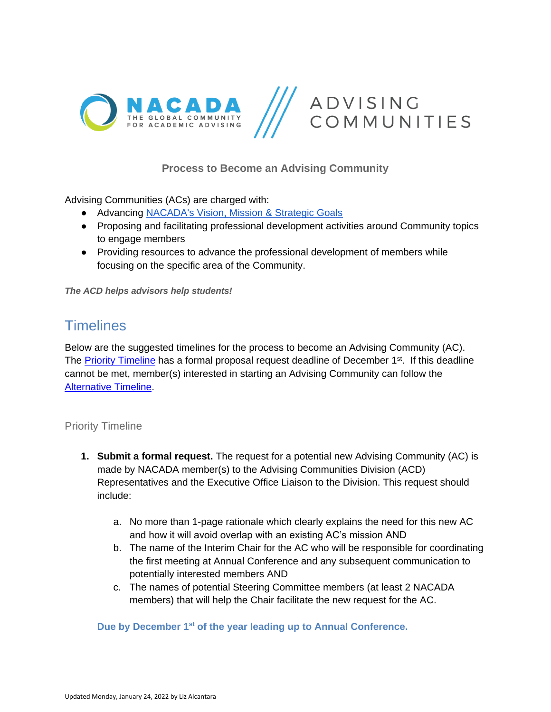

## **Process to Become an Advising Community**

Advising Communities (ACs) are charged with:

- Advancing [NACADA's Vision, Mission & Strategic Goals](https://nacada.ksu.edu/About-Us/Vision-and-Mission.aspx)
- Proposing and facilitating professional development activities around Community topics to engage members
- Providing resources to advance the professional development of members while focusing on the specific area of the Community.

*The ACD helps advisors help students!*

## **Timelines**

Below are the suggested timelines for the process to become an Advising Community (AC). The Priority [Timeline](#page-0-0) has a formal proposal request deadline of December  $1<sup>st</sup>$ . If this deadline cannot be met, member(s) interested in starting an Advising Community can follow the [Alternative Timeline.](#page-5-0)

#### <span id="page-0-0"></span>Priority Timeline

- **1. Submit a formal request.** The request for a potential new Advising Community (AC) is made by NACADA member(s) to the Advising Communities Division (ACD) Representatives and the Executive Office Liaison to the Division. This request should include:
	- a. No more than 1-page rationale which clearly explains the need for this new AC and how it will avoid overlap with an existing AC's mission AND
	- b. The name of the Interim Chair for the AC who will be responsible for coordinating the first meeting at Annual Conference and any subsequent communication to potentially interested members AND
	- c. The names of potential Steering Committee members (at least 2 NACADA members) that will help the Chair facilitate the new request for the AC.

**Due by December 1st of the year leading up to Annual Conference.**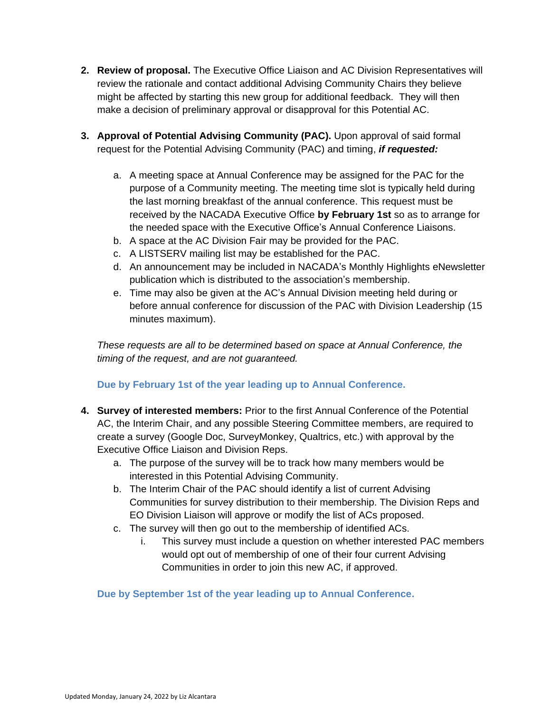- **2. Review of proposal.** The Executive Office Liaison and AC Division Representatives will review the rationale and contact additional Advising Community Chairs they believe might be affected by starting this new group for additional feedback. They will then make a decision of preliminary approval or disapproval for this Potential AC.
- **3. Approval of Potential Advising Community (PAC).** Upon approval of said formal request for the Potential Advising Community (PAC) and timing, *if requested:*
	- a. A meeting space at Annual Conference may be assigned for the PAC for the purpose of a Community meeting. The meeting time slot is typically held during the last morning breakfast of the annual conference. This request must be received by the NACADA Executive Office **by February 1st** so as to arrange for the needed space with the Executive Office's Annual Conference Liaisons.
	- b. A space at the AC Division Fair may be provided for the PAC.
	- c. A LISTSERV mailing list may be established for the PAC.
	- d. An announcement may be included in NACADA's Monthly Highlights eNewsletter publication which is distributed to the association's membership.
	- e. Time may also be given at the AC's Annual Division meeting held during or before annual conference for discussion of the PAC with Division Leadership (15 minutes maximum).

*These requests are all to be determined based on space at Annual Conference, the timing of the request, and are not guaranteed.*

## **Due by February 1st of the year leading up to Annual Conference.**

- **4. Survey of interested members:** Prior to the first Annual Conference of the Potential AC, the Interim Chair, and any possible Steering Committee members, are required to create a survey (Google Doc, SurveyMonkey, Qualtrics, etc.) with approval by the Executive Office Liaison and Division Reps.
	- a. The purpose of the survey will be to track how many members would be interested in this Potential Advising Community.
	- b. The Interim Chair of the PAC should identify a list of current Advising Communities for survey distribution to their membership. The Division Reps and EO Division Liaison will approve or modify the list of ACs proposed.
	- c. The survey will then go out to the membership of identified ACs.
		- i. This survey must include a question on whether interested PAC members would opt out of membership of one of their four current Advising Communities in order to join this new AC, if approved.

**Due by September 1st of the year leading up to Annual Conference.**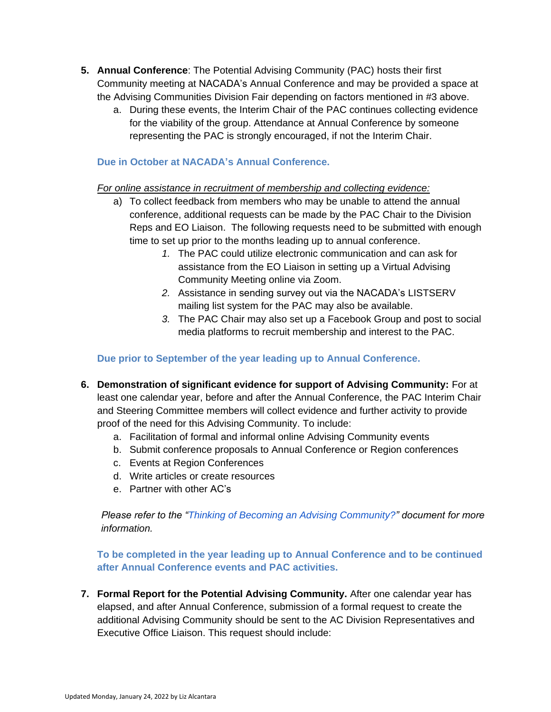- **5. Annual Conference**: The Potential Advising Community (PAC) hosts their first Community meeting at NACADA's Annual Conference and may be provided a space at the Advising Communities Division Fair depending on factors mentioned in #3 above.
	- a. During these events, the Interim Chair of the PAC continues collecting evidence for the viability of the group. Attendance at Annual Conference by someone representing the PAC is strongly encouraged, if not the Interim Chair.

#### **Due in October at NACADA's Annual Conference.**

#### *For online assistance in recruitment of membership and collecting evidence:*

- a) To collect feedback from members who may be unable to attend the annual conference, additional requests can be made by the PAC Chair to the Division Reps and EO Liaison. The following requests need to be submitted with enough time to set up prior to the months leading up to annual conference.
	- *1.* The PAC could utilize electronic communication and can ask for assistance from the EO Liaison in setting up a Virtual Advising Community Meeting online via Zoom.
	- *2.* Assistance in sending survey out via the NACADA's LISTSERV mailing list system for the PAC may also be available.
	- *3.* The PAC Chair may also set up a Facebook Group and post to social media platforms to recruit membership and interest to the PAC.

### **Due prior to September of the year leading up to Annual Conference.**

- **6. Demonstration of significant evidence for support of Advising Community:** For at least one calendar year, before and after the Annual Conference, the PAC Interim Chair and Steering Committee members will collect evidence and further activity to provide proof of the need for this Advising Community. To include:
	- a. Facilitation of formal and informal online Advising Community events
	- b. Submit conference proposals to Annual Conference or Region conferences
	- c. Events at Region Conferences
	- d. Write articles or create resources
	- e. Partner with other AC's

*Please refer to the "Thinking of Becoming an Advising Community?" document for more information.*

**To be completed in the year leading up to Annual Conference and to be continued after Annual Conference events and PAC activities.** 

**7. Formal Report for the Potential Advising Community.** After one calendar year has elapsed, and after Annual Conference, submission of a formal request to create the additional Advising Community should be sent to the AC Division Representatives and Executive Office Liaison. This request should include: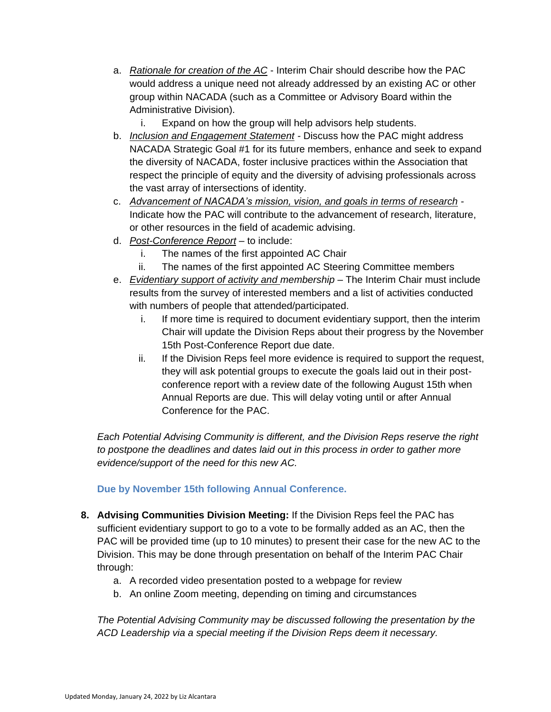- a. *Rationale for creation of the AC* Interim Chair should describe how the PAC would address a unique need not already addressed by an existing AC or other group within NACADA (such as a Committee or Advisory Board within the Administrative Division).
	- i. Expand on how the group will help advisors help students.
- b. *Inclusion and Engagement Statement -* Discuss how the PAC might address NACADA Strategic Goal #1 for its future members, enhance and seek to expand the diversity of NACADA, foster inclusive practices within the Association that respect the principle of equity and the diversity of advising professionals across the vast array of intersections of identity.
- c. *Advancement of NACADA's mission, vision, and goals in terms of research -* Indicate how the PAC will contribute to the advancement of research, literature, or other resources in the field of academic advising.
- d. *Post-Conference Report –* to include:
	- i. The names of the first appointed AC Chair
	- ii. The names of the first appointed AC Steering Committee members
- e. *Evidentiary support of activity and membership* The Interim Chair must include results from the survey of interested members and a list of activities conducted with numbers of people that attended/participated.
	- i. If more time is required to document evidentiary support, then the interim Chair will update the Division Reps about their progress by the November 15th Post-Conference Report due date.
	- ii. If the Division Reps feel more evidence is required to support the request, they will ask potential groups to execute the goals laid out in their postconference report with a review date of the following August 15th when Annual Reports are due. This will delay voting until or after Annual Conference for the PAC.

*Each Potential Advising Community is different, and the Division Reps reserve the right to postpone the deadlines and dates laid out in this process in order to gather more evidence/support of the need for this new AC.* 

#### **Due by November 15th following Annual Conference.**

- **8. Advising Communities Division Meeting:** If the Division Reps feel the PAC has sufficient evidentiary support to go to a vote to be formally added as an AC, then the PAC will be provided time (up to 10 minutes) to present their case for the new AC to the Division. This may be done through presentation on behalf of the Interim PAC Chair through:
	- a. A recorded video presentation posted to a webpage for review
	- b. An online Zoom meeting, depending on timing and circumstances

*The Potential Advising Community may be discussed following the presentation by the ACD Leadership via a special meeting if the Division Reps deem it necessary.*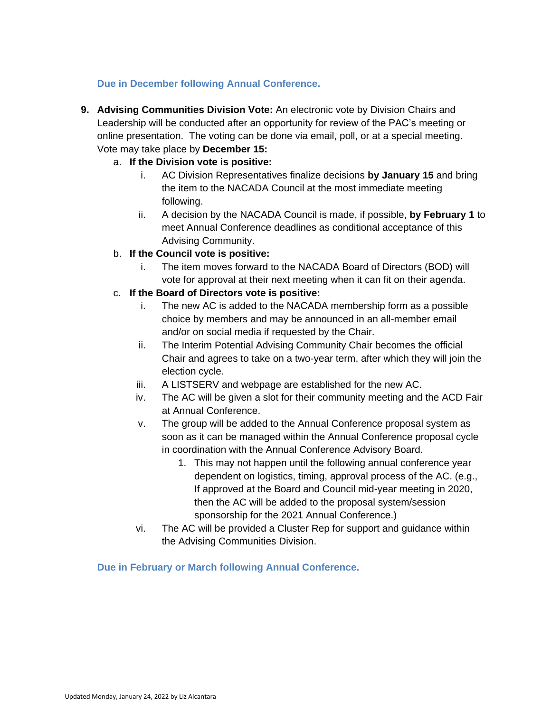## **Due in December following Annual Conference.**

**9. Advising Communities Division Vote:** An electronic vote by Division Chairs and Leadership will be conducted after an opportunity for review of the PAC's meeting or online presentation. The voting can be done via email, poll, or at a special meeting. Vote may take place by **December 15:**

## a. **If the Division vote is positive:**

- i. AC Division Representatives finalize decisions **by January 15** and bring the item to the NACADA Council at the most immediate meeting following.
- ii. A decision by the NACADA Council is made, if possible, **by February 1** to meet Annual Conference deadlines as conditional acceptance of this Advising Community.

#### b. **If the Council vote is positive:**

i. The item moves forward to the NACADA Board of Directors (BOD) will vote for approval at their next meeting when it can fit on their agenda.

#### c. **If the Board of Directors vote is positive:**

- i. The new AC is added to the NACADA membership form as a possible choice by members and may be announced in an all-member email and/or on social media if requested by the Chair.
- ii. The Interim Potential Advising Community Chair becomes the official Chair and agrees to take on a two-year term, after which they will join the election cycle.
- iii. A LISTSERV and webpage are established for the new AC.
- iv. The AC will be given a slot for their community meeting and the ACD Fair at Annual Conference.
- v. The group will be added to the Annual Conference proposal system as soon as it can be managed within the Annual Conference proposal cycle in coordination with the Annual Conference Advisory Board.
	- 1. This may not happen until the following annual conference year dependent on logistics, timing, approval process of the AC. (e.g., If approved at the Board and Council mid-year meeting in 2020, then the AC will be added to the proposal system/session sponsorship for the 2021 Annual Conference.)
- vi. The AC will be provided a Cluster Rep for support and guidance within the Advising Communities Division.

**Due in February or March following Annual Conference.**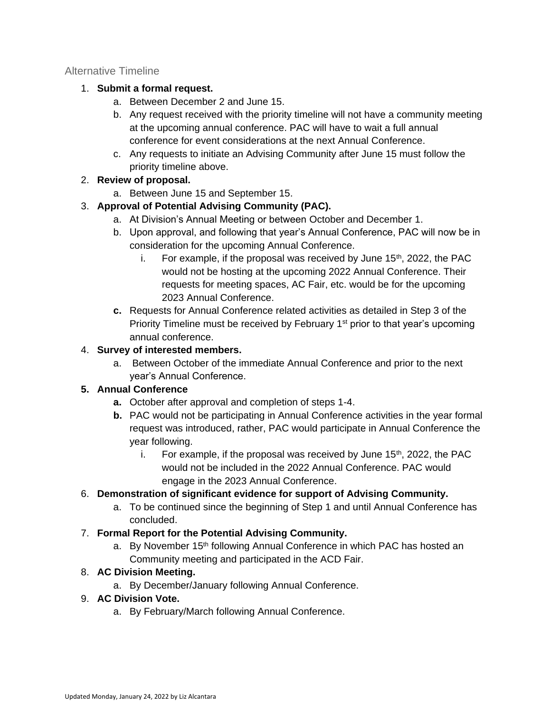#### <span id="page-5-0"></span>Alternative Timeline

### 1. **Submit a formal request.**

- a. Between December 2 and June 15.
- b. Any request received with the priority timeline will not have a community meeting at the upcoming annual conference. PAC will have to wait a full annual conference for event considerations at the next Annual Conference.
- c. Any requests to initiate an Advising Community after June 15 must follow the priority timeline above.

## 2. **Review of proposal.**

a. Between June 15 and September 15.

## 3. **Approval of Potential Advising Community (PAC).**

- a. At Division's Annual Meeting or between October and December 1.
- b. Upon approval, and following that year's Annual Conference, PAC will now be in consideration for the upcoming Annual Conference.
	- i. For example, if the proposal was received by June  $15<sup>th</sup>$ , 2022, the PAC would not be hosting at the upcoming 2022 Annual Conference. Their requests for meeting spaces, AC Fair, etc. would be for the upcoming 2023 Annual Conference.
- **c.** Requests for Annual Conference related activities as detailed in Step 3 of the Priority Timeline must be received by February 1<sup>st</sup> prior to that year's upcoming annual conference.

## 4. **Survey of interested members.**

a. Between October of the immediate Annual Conference and prior to the next year's Annual Conference.

## **5. Annual Conference**

- **a.** October after approval and completion of steps 1-4.
- **b.** PAC would not be participating in Annual Conference activities in the year formal request was introduced, rather, PAC would participate in Annual Conference the year following.
	- i. For example, if the proposal was received by June  $15<sup>th</sup>$ , 2022, the PAC would not be included in the 2022 Annual Conference. PAC would engage in the 2023 Annual Conference.

## 6. **Demonstration of significant evidence for support of Advising Community.**

a. To be continued since the beginning of Step 1 and until Annual Conference has concluded.

## 7. **Formal Report for the Potential Advising Community.**

a. By November 15<sup>th</sup> following Annual Conference in which PAC has hosted an Community meeting and participated in the ACD Fair.

## 8. **AC Division Meeting.**

a. By December/January following Annual Conference.

#### 9. **AC Division Vote.**

a. By February/March following Annual Conference.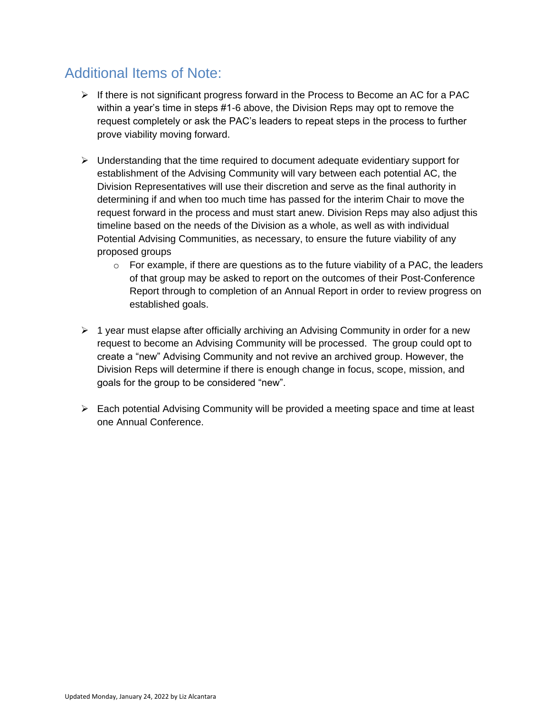# Additional Items of Note:

- $\triangleright$  If there is not significant progress forward in the Process to Become an AC for a PAC within a year's time in steps #1-6 above, the Division Reps may opt to remove the request completely or ask the PAC's leaders to repeat steps in the process to further prove viability moving forward.
- $\triangleright$  Understanding that the time required to document adequate evidentiary support for establishment of the Advising Community will vary between each potential AC, the Division Representatives will use their discretion and serve as the final authority in determining if and when too much time has passed for the interim Chair to move the request forward in the process and must start anew. Division Reps may also adjust this timeline based on the needs of the Division as a whole, as well as with individual Potential Advising Communities, as necessary, to ensure the future viability of any proposed groups
	- $\circ$  For example, if there are questions as to the future viability of a PAC, the leaders of that group may be asked to report on the outcomes of their Post-Conference Report through to completion of an Annual Report in order to review progress on established goals.
- $\triangleright$  1 year must elapse after officially archiving an Advising Community in order for a new request to become an Advising Community will be processed. The group could opt to create a "new" Advising Community and not revive an archived group. However, the Division Reps will determine if there is enough change in focus, scope, mission, and goals for the group to be considered "new".
- $\triangleright$  Each potential Advising Community will be provided a meeting space and time at least one Annual Conference.